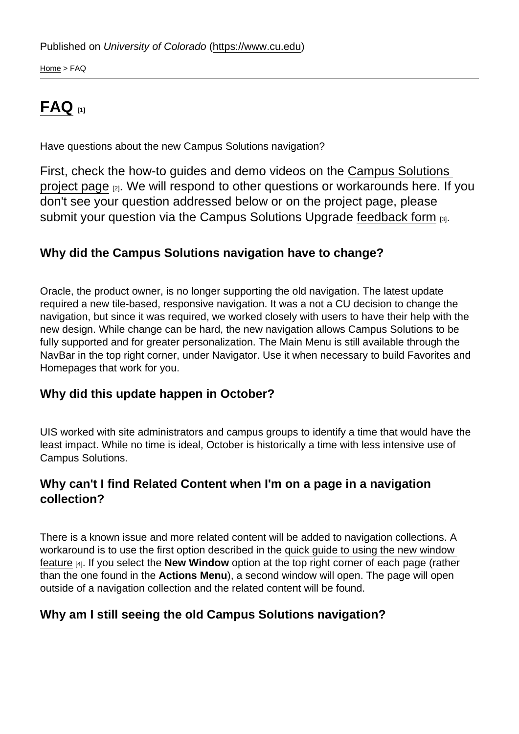[Home](https://www.cu.edu/) > FAQ

## $\mathsf{FAQ}_{[1]}$  $\mathsf{FAQ}_{[1]}$  $\mathsf{FAQ}_{[1]}$

Have questions about the new Campus Solutions navigation?

First, check the how-to guides and demo videos on the [Campus Solutions](https://www.cu.edu/uis/projects-initiatives/new-cu-sis-campus-solutions-navigation)  [project page](https://www.cu.edu/uis/projects-initiatives/new-cu-sis-campus-solutions-navigation) [2]. We will respond to other questions or workarounds here. If you don't see your question addressed below or on the project page, please submit your question via the Campus Solutions Upgrade [feedback form](https://www.cu.edu/uis/forms/campus-solutions-upgrade-feedback) [3].

Why did the Campus Solutions navigation have to change?

Oracle, the product owner, is no longer supporting the old navigation. The latest update required a new tile-based, responsive navigation. It was a not a CU decision to change the navigation, but since it was required, we worked closely with users to have their help with the new design. While change can be hard, the new navigation allows Campus Solutions to be fully supported and for greater personalization. The Main Menu is still available through the NavBar in the top right corner, under Navigator. Use it when necessary to build Favorites and Homepages that work for you.

Why did this update happen in October?

UIS worked with site administrators and campus groups to identify a time that would have the least impact. While no time is ideal, October is historically a time with less intensive use of Campus Solutions.

Why can't I find Related Content when I'm on a page in a navigation collection?

There is a known issue and more related content will be added to navigation collections. A workaround is to use the first option described in the [quick guide to using the new window](https://www.cu.edu/doc/campus-solutions-how-use-new-window-v2-dokpdf)  [feature](https://www.cu.edu/doc/campus-solutions-how-use-new-window-v2-dokpdf) [4]. If you select the New Window option at the top right corner of each page (rather than the one found in the Actions Menu ), a second window will open. The page will open outside of a navigation collection and the related content will be found.

Why am I still seeing the old Campus Solutions navigation?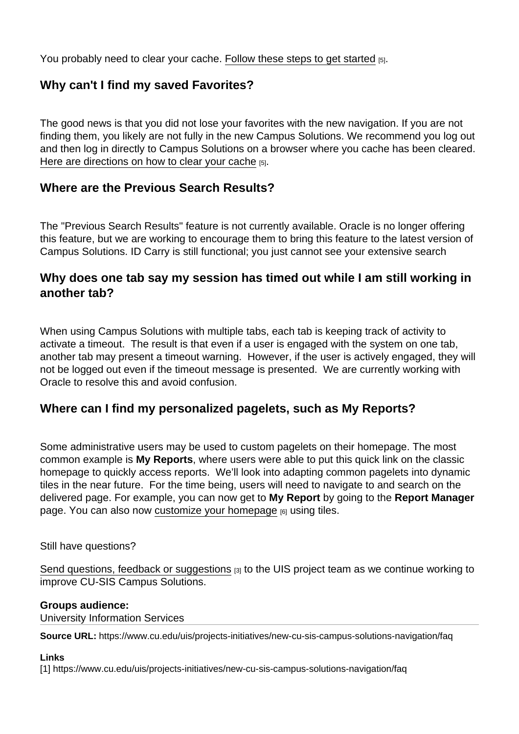You probably need to clear your cache. [Follow these steps to get started](https://www.cu.edu/sites/default/files/uis_how_to_guide_clear_browser_cache_0.pdf) [5].

## Why can't I find my saved Favorites?

The good news is that you did not lose your favorites with the new navigation. If you are not finding them, you likely are not fully in the new Campus Solutions. We recommend you log out and then log in directly to Campus Solutions on a browser where you cache has been cleared. [Here are directions on how to clear your cache](https://www.cu.edu/sites/default/files/uis_how_to_guide_clear_browser_cache_0.pdf) [5].

Where are the Previous Search Results?

The "Previous Search Results" feature is not currently available. Oracle is no longer offering this feature, but we are working to encourage them to bring this feature to the latest version of Campus Solutions. ID Carry is still functional; you just cannot see your extensive search

Why does one tab say my session has timed out while I am still working in another tab?

When using Campus Solutions with multiple tabs, each tab is keeping track of activity to activate a timeout. The result is that even if a user is engaged with the system on one tab, another tab may present a timeout warning. However, if the user is actively engaged, they will not be logged out even if the timeout message is presented. We are currently working with Oracle to resolve this and avoid confusion.

Where can I find my personalized pagelets, such as My Reports?

Some administrative users may be used to custom pagelets on their homepage. The most common example is My Reports , where users were able to put this quick link on the classic homepage to quickly access reports. We'll look into adapting common pagelets into dynamic tiles in the near future. For the time being, users will need to navigate to and search on the delivered page. For example, you can now get to My Report by going to the Report Manager page. You can also now [customize your homepage](https://www.cu.edu/doc/campus-solutions-how-create-customized-homepagepdf) [6] using tiles.

Still have questions?

[Send questions, feedback or suggestions](https://www.cu.edu/uis/forms/campus-solutions-upgrade-feedback)  $[3]$  to the UIS project team as we continue working to improve CU-SIS Campus Solutions.

Groups audience: University Information Services

Source URL: https://www.cu.edu/uis/projects-initiatives/new-cu-sis-campus-solutions-navigation/faq

Links

[1] https://www.cu.edu/uis/projects-initiatives/new-cu-sis-campus-solutions-navigation/faq